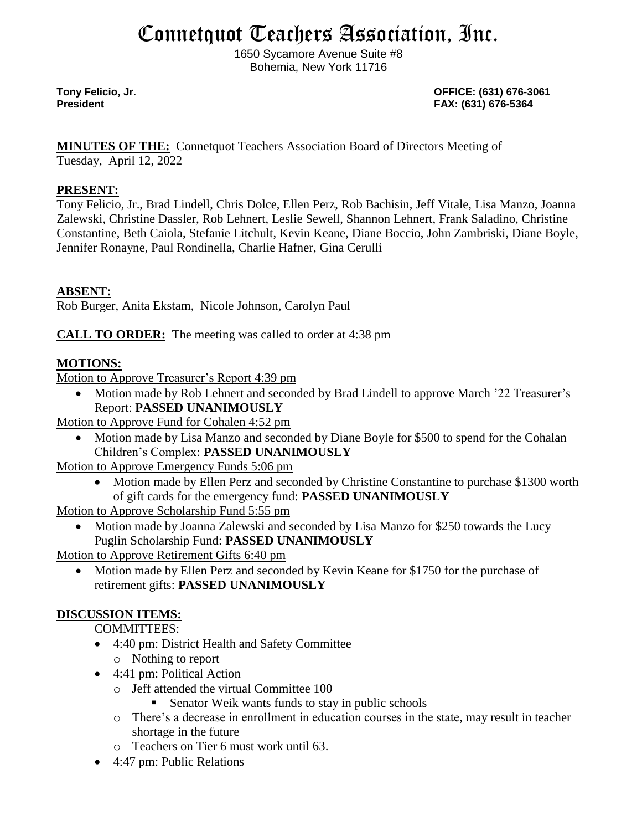# Connetquot Teachers Association, Inc.

1650 Sycamore Avenue Suite #8 Bohemia, New York 11716

**Tony Felicio, Jr. OFFICE: (631) 676-3061 President FAX: (631) 676-5364**

**MINUTES OF THE:** Connetquot Teachers Association Board of Directors Meeting of

Tuesday, April 12, 2022

#### **PRESENT:**

Tony Felicio, Jr., Brad Lindell, Chris Dolce, Ellen Perz, Rob Bachisin, Jeff Vitale, Lisa Manzo, Joanna Zalewski, Christine Dassler, Rob Lehnert, Leslie Sewell, Shannon Lehnert, Frank Saladino, Christine Constantine, Beth Caiola, Stefanie Litchult, Kevin Keane, Diane Boccio, John Zambriski, Diane Boyle, Jennifer Ronayne, Paul Rondinella, Charlie Hafner, Gina Cerulli

## **ABSENT:**

Rob Burger, Anita Ekstam, Nicole Johnson, Carolyn Paul

**CALL TO ORDER:** The meeting was called to order at 4:38 pm

## **MOTIONS:**

Motion to Approve Treasurer's Report 4:39 pm

• Motion made by Rob Lehnert and seconded by Brad Lindell to approve March '22 Treasurer's Report: **PASSED UNANIMOUSLY**

Motion to Approve Fund for Cohalen 4:52 pm

• Motion made by Lisa Manzo and seconded by Diane Boyle for \$500 to spend for the Cohalan Children's Complex: **PASSED UNANIMOUSLY**

Motion to Approve Emergency Funds 5:06 pm

- Motion made by Ellen Perz and seconded by Christine Constantine to purchase \$1300 worth of gift cards for the emergency fund: **PASSED UNANIMOUSLY**
- Motion to Approve Scholarship Fund 5:55 pm
	- Motion made by Joanna Zalewski and seconded by Lisa Manzo for \$250 towards the Lucy Puglin Scholarship Fund: **PASSED UNANIMOUSLY**

Motion to Approve Retirement Gifts 6:40 pm

• Motion made by Ellen Perz and seconded by Kevin Keane for \$1750 for the purchase of retirement gifts: **PASSED UNANIMOUSLY**

## **DISCUSSION ITEMS:**

COMMITTEES:

- 4:40 pm: District Health and Safety Committee o Nothing to report
- 4:41 pm: Political Action
	- o Jeff attended the virtual Committee 100
		- Senator Weik wants funds to stay in public schools
	- o There's a decrease in enrollment in education courses in the state, may result in teacher shortage in the future
	- o Teachers on Tier 6 must work until 63.
- 4:47 pm: Public Relations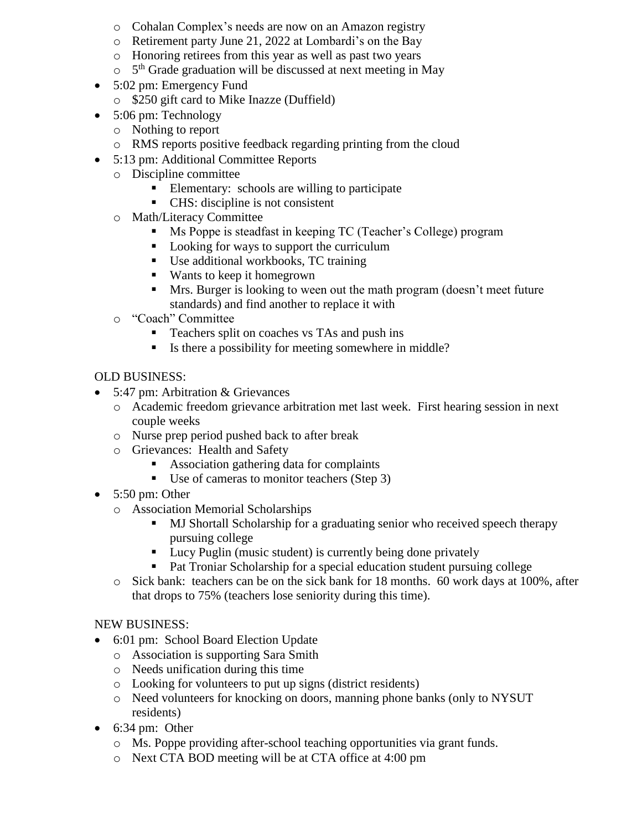- o Cohalan Complex's needs are now on an Amazon registry
- o Retirement party June 21, 2022 at Lombardi's on the Bay
- o Honoring retirees from this year as well as past two years
- o 5<sup>th</sup> Grade graduation will be discussed at next meeting in May
- 5:02 pm: Emergency Fund
	- o \$250 gift card to Mike Inazze (Duffield)
- 5:06 pm: Technology
	- o Nothing to report
	- o RMS reports positive feedback regarding printing from the cloud
- 5:13 pm: Additional Committee Reports
	- o Discipline committee
		- Elementary: schools are willing to participate
		- CHS: discipline is not consistent
	- o Math/Literacy Committee
		- Ms Poppe is steadfast in keeping TC (Teacher's College) program
		- Looking for ways to support the curriculum
		- Use additional workbooks, TC training
		- Wants to keep it homegrown
		- **If** Mrs. Burger is looking to ween out the math program (doesn't meet future standards) and find another to replace it with
	- o "Coach" Committee
		- Teachers split on coaches vs TAs and push ins
		- Is there a possibility for meeting somewhere in middle?

#### OLD BUSINESS:

- 5:47 pm: Arbitration & Grievances
	- o Academic freedom grievance arbitration met last week. First hearing session in next couple weeks
	- o Nurse prep period pushed back to after break
	- o Grievances: Health and Safety
		- Association gathering data for complaints
		- Use of cameras to monitor teachers (Step 3)
- $\bullet$  5:50 pm: Other
	- o Association Memorial Scholarships
		- MJ Shortall Scholarship for a graduating senior who received speech therapy pursuing college
		- Lucy Puglin (music student) is currently being done privately
		- Pat Troniar Scholarship for a special education student pursuing college
	- $\circ$  Sick bank: teachers can be on the sick bank for 18 months. 60 work days at 100%, after that drops to 75% (teachers lose seniority during this time).

#### NEW BUSINESS:

- 6:01 pm: School Board Election Update
	- o Association is supporting Sara Smith
	- o Needs unification during this time
	- o Looking for volunteers to put up signs (district residents)
	- o Need volunteers for knocking on doors, manning phone banks (only to NYSUT residents)
- 6:34 pm: Other
	- o Ms. Poppe providing after-school teaching opportunities via grant funds.
	- o Next CTA BOD meeting will be at CTA office at 4:00 pm